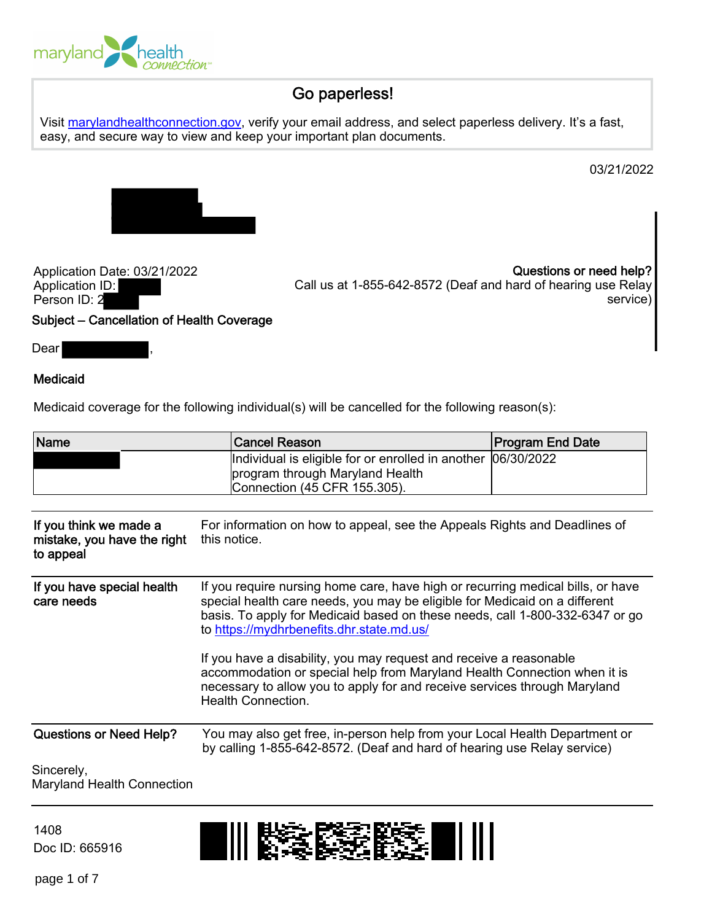

# Go paperless!

Visit [marylandhealthconnection.gov](http://www.marylandhealthconnection.gov/), verify your email address, and select paperless delivery. It's a fast, easy, and secure way to view and keep your important plan documents.

03/21/2022



Application Date: 03/21/2022 Application ID: Person ID: 2 Subject – Cancellation of Health Coverage

Questions or need help? Call us at 1-855-642-8572 (Deaf and hard of hearing use Relay service)

Dear

## Medicaid

Medicaid coverage for the following individual(s) will be cancelled for the following reason(s):

| Name                                                               | <b>Cancel Reason</b>                                                                                                                                                                                                                                                                                                                                                                                                                                                                                                                                   | <b>Program End Date</b> |
|--------------------------------------------------------------------|--------------------------------------------------------------------------------------------------------------------------------------------------------------------------------------------------------------------------------------------------------------------------------------------------------------------------------------------------------------------------------------------------------------------------------------------------------------------------------------------------------------------------------------------------------|-------------------------|
|                                                                    | Individual is eligible for or enrolled in another<br>program through Maryland Health<br>Connection (45 CFR 155.305).                                                                                                                                                                                                                                                                                                                                                                                                                                   | 06/30/2022              |
| If you think we made a<br>mistake, you have the right<br>to appeal | For information on how to appeal, see the Appeals Rights and Deadlines of<br>this notice.                                                                                                                                                                                                                                                                                                                                                                                                                                                              |                         |
| If you have special health<br>care needs                           | If you require nursing home care, have high or recurring medical bills, or have<br>special health care needs, you may be eligible for Medicaid on a different<br>basis. To apply for Medicaid based on these needs, call 1-800-332-6347 or go<br>to https://mydhrbenefits.dhr.state.md.us/<br>If you have a disability, you may request and receive a reasonable<br>accommodation or special help from Maryland Health Connection when it is<br>necessary to allow you to apply for and receive services through Maryland<br><b>Health Connection.</b> |                         |
|                                                                    |                                                                                                                                                                                                                                                                                                                                                                                                                                                                                                                                                        |                         |
| <b>Questions or Need Help?</b>                                     | You may also get free, in-person help from your Local Health Department or<br>by calling 1-855-642-8572. (Deaf and hard of hearing use Relay service)                                                                                                                                                                                                                                                                                                                                                                                                  |                         |
| Sincerely,<br><b>Maryland Health Connection</b>                    |                                                                                                                                                                                                                                                                                                                                                                                                                                                                                                                                                        |                         |

1408 Doc ID: 665916

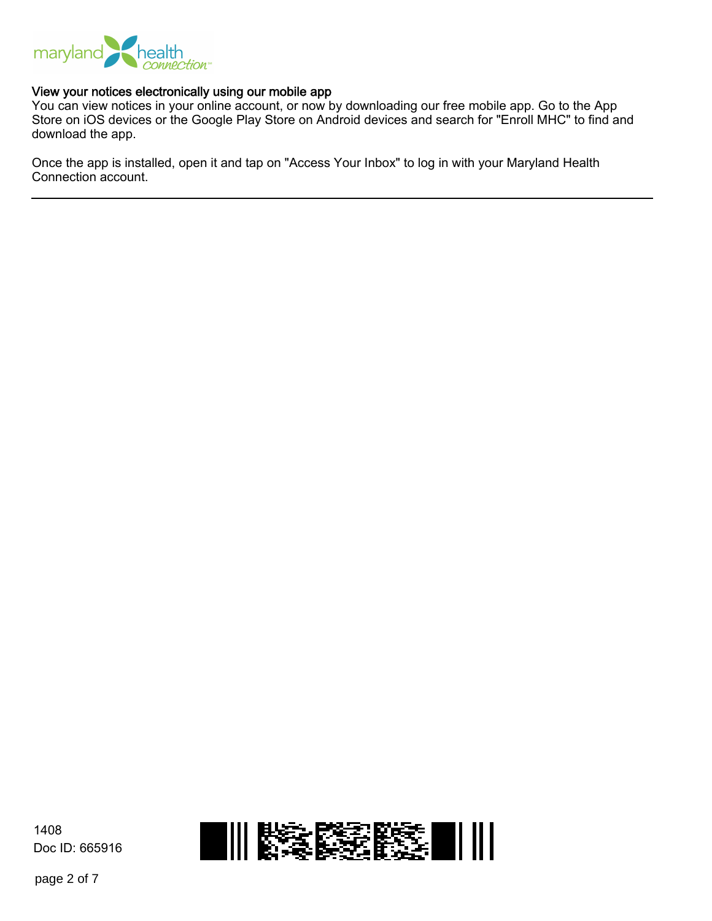

#### View your notices electronically using our mobile app

You can view notices in your online account, or now by downloading our free mobile app. Go to the App Store on iOS devices or the Google Play Store on Android devices and search for "Enroll MHC" to find and download the app.

Once the app is installed, open it and tap on "Access Your Inbox" to log in with your Maryland Health Connection account.

1408 1838383 III Doc ID: 665916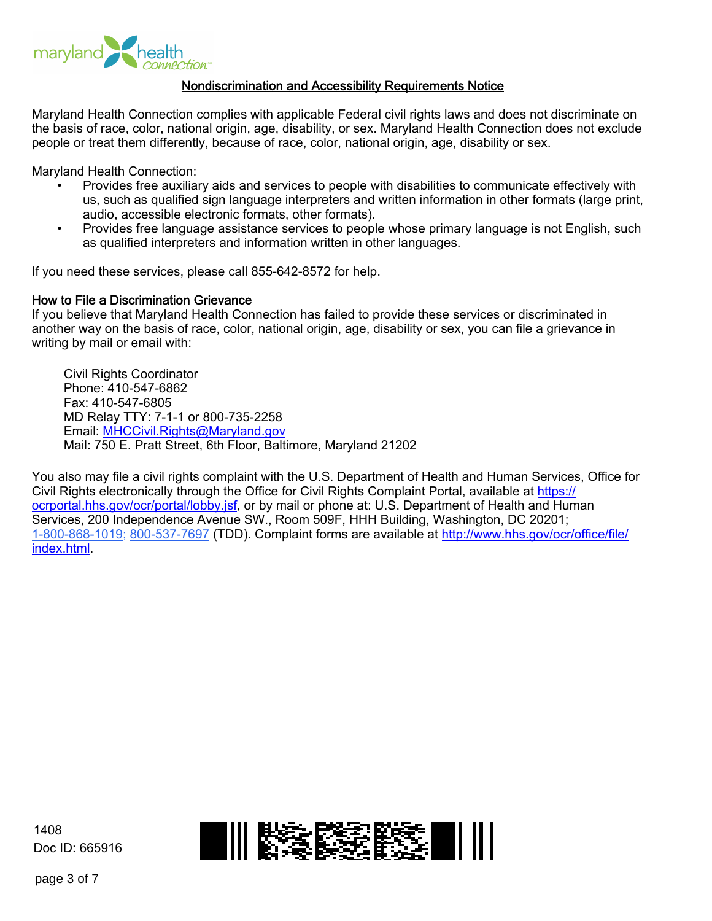

#### Nondiscrimination and Accessibility Requirements Notice

Maryland Health Connection complies with applicable Federal civil rights laws and does not discriminate on the basis of race, color, national origin, age, disability, or sex. Maryland Health Connection does not exclude people or treat them differently, because of race, color, national origin, age, disability or sex.

Maryland Health Connection:

- Provides free auxiliary aids and services to people with disabilities to communicate effectively with us, such as qualified sign language interpreters and written information in other formats (large print, audio, accessible electronic formats, other formats).
- Provides free language assistance services to people whose primary language is not English, such as qualified interpreters and information written in other languages.

If you need these services, please call 855-642-8572 for help.

#### How to File a Discrimination Grievance

If you believe that Maryland Health Connection has failed to provide these services or discriminated in another way on the basis of race, color, national origin, age, disability or sex, you can file a grievance in writing by mail or email with:

Civil Rights Coordinator Phone: 410-547-6862 Fax: 410-547-6805 MD Relay TTY: 7-1-1 or 800-735-2258 Email:<MHCCivil.Rights@Maryland.gov> Mail: 750 E. Pratt Street, 6th Floor, Baltimore, Maryland 21202

You also may file a civil rights complaint with the U.S. Department of Health and Human Services, Office for Civil Rights electronically through the Office for Civil Rights Complaint Portal, available at [https://](https://ocrportal.hhs.gov/ocr/portal/lobby.jsf) [ocrportal.hhs.gov/ocr/portal/lobby.jsf,](https://ocrportal.hhs.gov/ocr/portal/lobby.jsf) or by mail or phone at: U.S. Department of Health and Human Services, 200 Independence Avenue SW., Room 509F, HHH Building, Washington, DC 20201; 1-800-868-1019; 800-537-7697 (TDD). Complaint forms are available at [http://www.hhs.gov/ocr/office/file/](http://www.hhs.gov/ocr/office/file/index.html) [index.html](http://www.hhs.gov/ocr/office/file/index.html).

1408 Doc ID: 665916

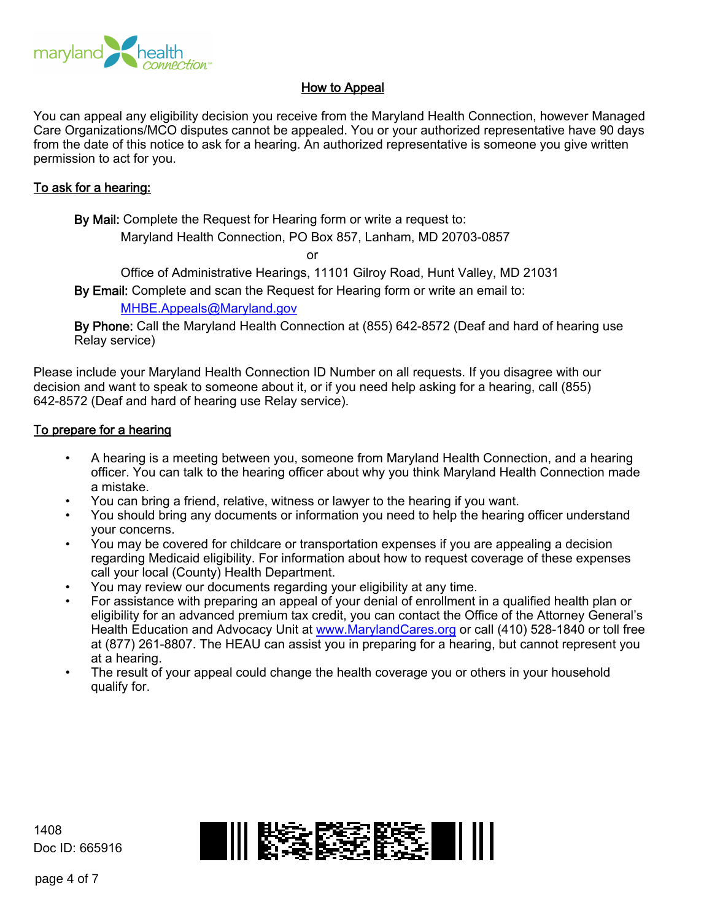

# How to Appeal

You can appeal any eligibility decision you receive from the Maryland Health Connection, however Managed Care Organizations/MCO disputes cannot be appealed. You or your authorized representative have 90 days from the date of this notice to ask for a hearing. An authorized representative is someone you give written permission to act for you.

## To ask for a hearing:

By Mail: Complete the Request for Hearing form or write a request to:

Maryland Health Connection, PO Box 857, Lanham, MD 20703-0857

or

Office of Administrative Hearings, 11101 Gilroy Road, Hunt Valley, MD 21031

By Email: Complete and scan the Request for Hearing form or write an email to:

<MHBE.Appeals@Maryland.gov>

By Phone: Call the Maryland Health Connection at (855) 642-8572 (Deaf and hard of hearing use Relay service)

Please include your Maryland Health Connection ID Number on all requests. If you disagree with our decision and want to speak to someone about it, or if you need help asking for a hearing, call (855) 642-8572 (Deaf and hard of hearing use Relay service).

## To prepare for a hearing

- A hearing is a meeting between you, someone from Maryland Health Connection, and a hearing officer. You can talk to the hearing officer about why you think Maryland Health Connection made a mistake.
- You can bring a friend, relative, witness or lawyer to the hearing if you want.
- You should bring any documents or information you need to help the hearing officer understand your concerns.
- You may be covered for childcare or transportation expenses if you are appealing a decision regarding Medicaid eligibility. For information about how to request coverage of these expenses call your local (County) Health Department.
- You may review our documents regarding your eligibility at any time.
- For assistance with preparing an appeal of your denial of enrollment in a qualified health plan or eligibility for an advanced premium tax credit, you can contact the Office of the Attorney General's Health Education and Advocacy Unit at<www.MarylandCares.org> or call (410) 528-1840 or toll free at (877) 261-8807. The HEAU can assist you in preparing for a hearing, but cannot represent you at a hearing.
- The result of your appeal could change the health coverage you or others in your household qualify for.

1408 Doc ID: 665916

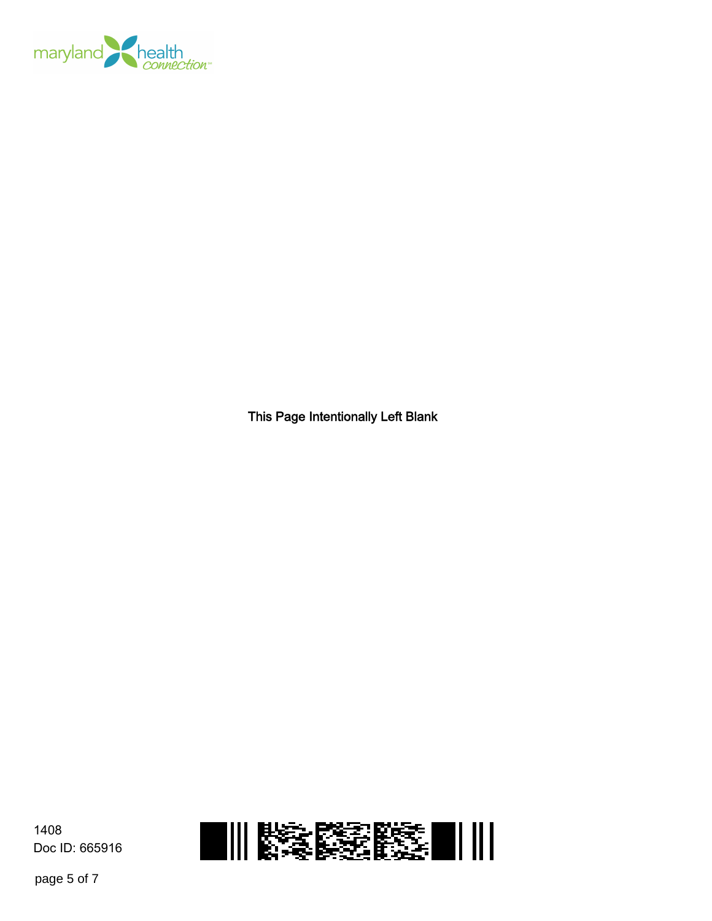

This Page Intentionally Left Blank





page 5 of 7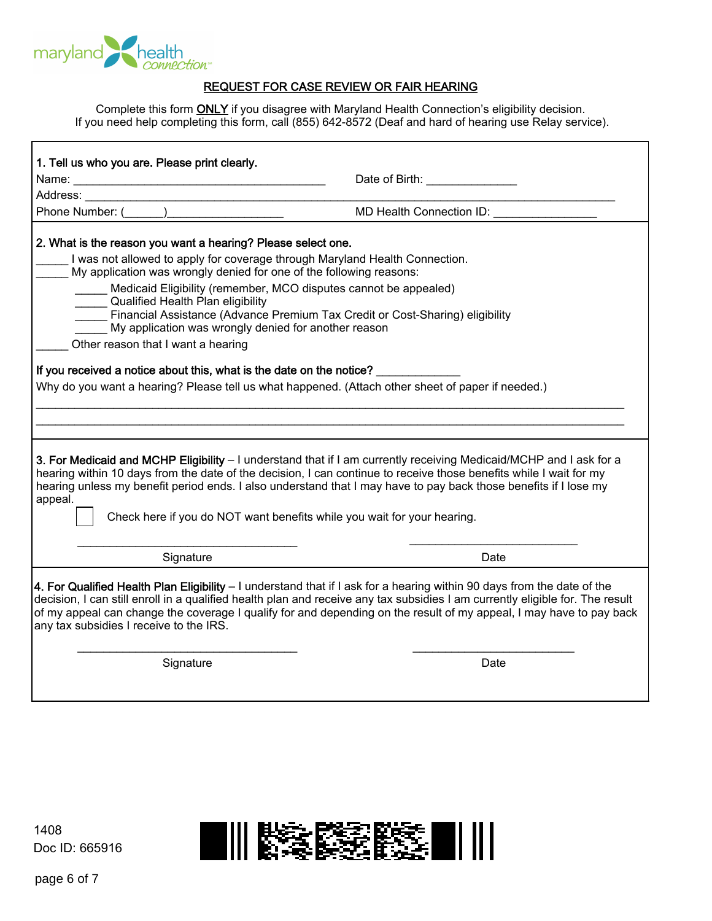

## REQUEST FOR CASE REVIEW OR FAIR HEARING

Complete this form **ONLY** if you disagree with Maryland Health Connection's eligibility decision. If you need help completing this form, call (855) 642-8572 (Deaf and hard of hearing use Relay service).

| 1. Tell us who you are. Please print clearly.                                                                                                                                                                                                                                                                                                                                                                                                                                                                                                                                                                                                                                           | Date of Birth: _______________            |  |  |
|-----------------------------------------------------------------------------------------------------------------------------------------------------------------------------------------------------------------------------------------------------------------------------------------------------------------------------------------------------------------------------------------------------------------------------------------------------------------------------------------------------------------------------------------------------------------------------------------------------------------------------------------------------------------------------------------|-------------------------------------------|--|--|
| Phone Number: (______)________________________                                                                                                                                                                                                                                                                                                                                                                                                                                                                                                                                                                                                                                          | MD Health Connection ID: ________________ |  |  |
| 2. What is the reason you want a hearing? Please select one.<br>I was not allowed to apply for coverage through Maryland Health Connection.<br>My application was wrongly denied for one of the following reasons:<br>Medicaid Eligibility (remember, MCO disputes cannot be appealed)<br>Qualified Health Plan eligibility<br>Financial Assistance (Advance Premium Tax Credit or Cost-Sharing) eligibility<br>My application was wrongly denied for another reason<br>Other reason that I want a hearing<br>If you received a notice about this, what is the date on the notice?<br>Why do you want a hearing? Please tell us what happened. (Attach other sheet of paper if needed.) |                                           |  |  |
| 3. For Medicaid and MCHP Eligibility - I understand that if I am currently receiving Medicaid/MCHP and I ask for a<br>hearing within 10 days from the date of the decision, I can continue to receive those benefits while I wait for my<br>hearing unless my benefit period ends. I also understand that I may have to pay back those benefits if I lose my<br>appeal.<br>Check here if you do NOT want benefits while you wait for your hearing.                                                                                                                                                                                                                                      |                                           |  |  |
| Signature                                                                                                                                                                                                                                                                                                                                                                                                                                                                                                                                                                                                                                                                               | Date                                      |  |  |
| 4. For Qualified Health Plan Eligibility – I understand that if I ask for a hearing within 90 days from the date of the<br>decision, I can still enroll in a qualified health plan and receive any tax subsidies I am currently eligible for. The result<br>of my appeal can change the coverage I qualify for and depending on the result of my appeal, I may have to pay back<br>any tax subsidies I receive to the IRS.                                                                                                                                                                                                                                                              |                                           |  |  |
| Signature                                                                                                                                                                                                                                                                                                                                                                                                                                                                                                                                                                                                                                                                               | Date                                      |  |  |